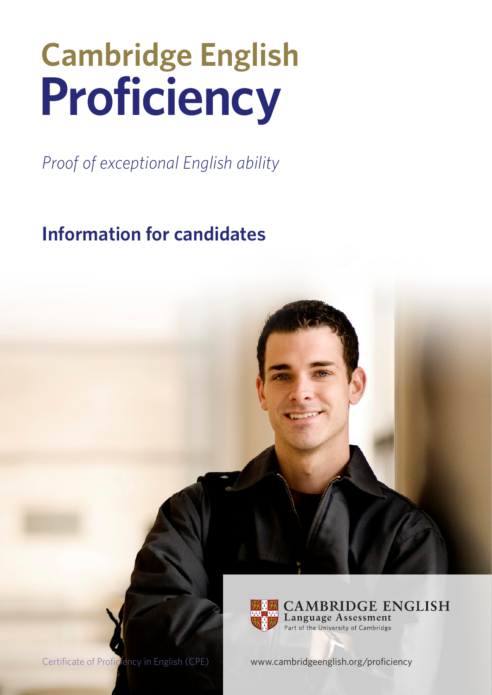# **Cambridge English** Proficiency

*Proof of exceptional English ability* 

**Information for candidates**



Certificate of Proficiency in English (CPE) [www.cambridgeenglish.org/](http://www.cambridgeenglish.org/proficiency)proficiency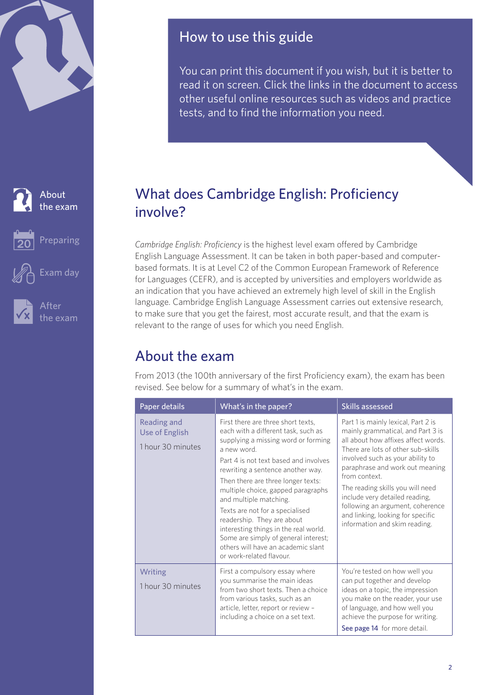<span id="page-1-0"></span>

About the exam



[Preparing](#page-3-0)



[Exam day](#page-10-0)



After [the exam](#page-12-0)

# How to use this guide

You can print this document if you wish, but it is better to read it on screen. Click the links in the document to access other useful online resources such as videos and practice tests, and to find the information you need.

# What does Cambridge English: Proficiency involve?

*Cambridge English: Proficiency* is the highest level exam offered by Cambridge English Language Assessment. It can be taken in both paper-based and computerbased formats. It is at Level C2 of the Common European Framework of Reference for Languages (CEFR), and is accepted by universities and employers worldwide as an indication that you have achieved an extremely high level of skill in the English language. Cambridge English Language Assessment carries out extensive research, to make sure that you get the fairest, most accurate result, and that the exam is relevant to the range of uses for which you need English.

# About the exam

From 2013 (the 100th anniversary of the first Proficiency exam), the exam has been revised. See below for a summary of what's in the exam.

| Paper details                                      | What's in the paper?                                                                                                                                                                                                                                                                                                                                                                                                                                                                                                                   | Skills assessed                                                                                                                                                                                                                                                                                                                                                                                                               |
|----------------------------------------------------|----------------------------------------------------------------------------------------------------------------------------------------------------------------------------------------------------------------------------------------------------------------------------------------------------------------------------------------------------------------------------------------------------------------------------------------------------------------------------------------------------------------------------------------|-------------------------------------------------------------------------------------------------------------------------------------------------------------------------------------------------------------------------------------------------------------------------------------------------------------------------------------------------------------------------------------------------------------------------------|
| Reading and<br>Use of English<br>1 hour 30 minutes | First there are three short texts,<br>each with a different task, such as<br>supplying a missing word or forming<br>a new word<br>Part 4 is not text based and involves<br>rewriting a sentence another way.<br>Then there are three longer texts:<br>multiple choice, gapped paragraphs<br>and multiple matching.<br>Texts are not for a specialised<br>readership. They are about<br>interesting things in the real world.<br>Some are simply of general interest;<br>others will have an academic slant<br>or work-related flavour. | Part 1 is mainly lexical, Part 2 is<br>mainly grammatical, and Part 3 is<br>all about how affixes affect words.<br>There are lots of other sub-skills<br>involved such as your ability to<br>paraphrase and work out meaning<br>from context.<br>The reading skills you will need<br>include very detailed reading,<br>following an argument, coherence<br>and linking, looking for specific<br>information and skim reading. |
| Writing<br>1 hour 30 minutes                       | First a compulsory essay where<br>you summarise the main ideas<br>from two short texts. Then a choice<br>from various tasks, such as an<br>article, letter, report or review -<br>including a choice on a set text.                                                                                                                                                                                                                                                                                                                    | You're tested on how well you<br>can put together and develop<br>ideas on a topic, the impression<br>you make on the reader, your use<br>of language, and how well you<br>achieve the purpose for writing.<br>See page 14 for more detail.                                                                                                                                                                                    |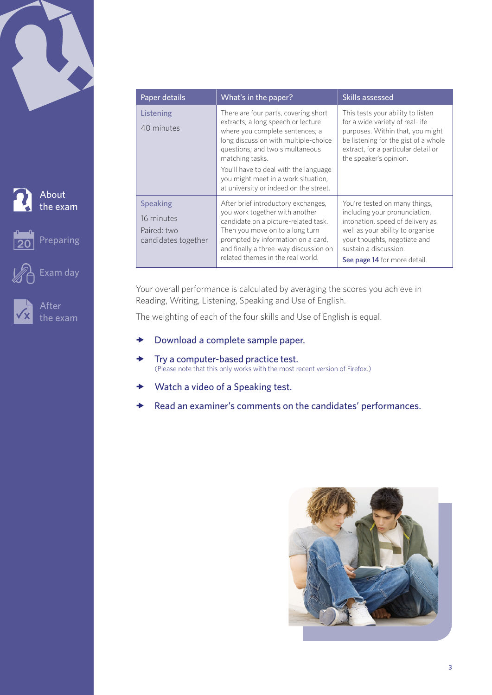



About [the exam](#page-1-0)

[Preparing](#page-3-0)

After [the exam](#page-12-0)

[Exam day](#page-10-0)

| Paper details                                                       | What's in the paper?                                                                                                                                                                                                                                                                                                                  | Skills assessed                                                                                                                                                                                                                 |
|---------------------------------------------------------------------|---------------------------------------------------------------------------------------------------------------------------------------------------------------------------------------------------------------------------------------------------------------------------------------------------------------------------------------|---------------------------------------------------------------------------------------------------------------------------------------------------------------------------------------------------------------------------------|
| Listening<br>40 minutes                                             | There are four parts, covering short<br>extracts; a long speech or lecture<br>where you complete sentences; a<br>long discussion with multiple-choice<br>questions; and two simultaneous<br>matching tasks.<br>You'll have to deal with the language<br>you might meet in a work situation,<br>at university or indeed on the street. | This tests your ability to listen<br>for a wide variety of real-life<br>purposes. Within that, you might<br>be listening for the gist of a whole<br>extract, for a particular detail or<br>the speaker's opinion.               |
| <b>Speaking</b><br>16 minutes<br>Paired: two<br>candidates together | After brief introductory exchanges,<br>you work together with another<br>candidate on a picture-related task.<br>Then you move on to a long turn<br>prompted by information on a card,<br>and finally a three-way discussion on<br>related themes in the real world.                                                                  | You're tested on many things,<br>including your pronunciation,<br>intonation, speed of delivery as<br>well as your ability to organise<br>your thoughts, negotiate and<br>sustain a discussion.<br>See page 14 for more detail. |

Your overall performance is calculated by averaging the scores you achieve in Reading, Writing, Listening, Speaking and Use of English.

The weighting of each of the four skills and Use of English is equal.

- $\rightarrow$  [Download a complete sample paper.](http://www.cambridgeenglish.org/exams/proficiency/preparation/)
- $\rightarrow$  [Try a computer-based practice test.](http://www.cambridgeenglish.org/exams-and-qualifications/proficiency/how-to-prepare/) (Please note that this only works with the most recent version of Firefox.)
- $\rightarrow$  [Watch a video of a Speaking test.](http://www.youtube.com/watch?v=Z-zh_rPNaqU)
- $\rightarrow$  [Read an examiner's comments on the candidates' performances.](http://www.cambridgeenglish.org/images/cpe-examiner-comments.pdf)

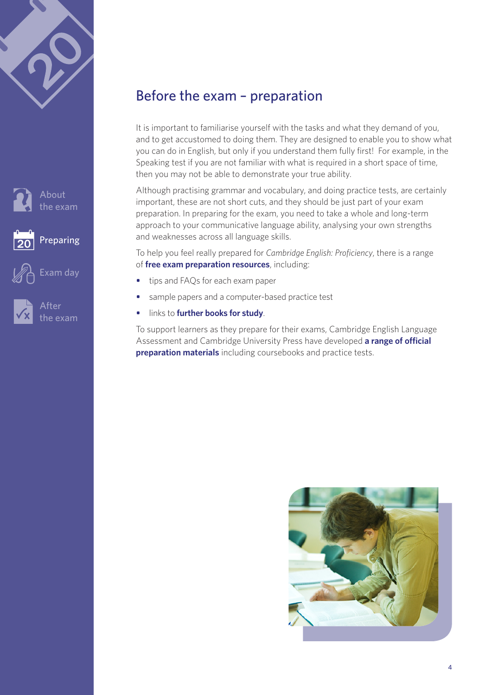<span id="page-3-0"></span>





### Before the exam – preparation

It is important to familiarise yourself with the tasks and what they demand of you, and to get accustomed to doing them. They are designed to enable you to show what you can do in English, but only if you understand them fully first! For example, in the Speaking test if you are not familiar with what is required in a short space of time, then you may not be able to demonstrate your true ability.

Although practising grammar and vocabulary, and doing practice tests, are certainly important, these are not short cuts, and they should be just part of your exam preparation. In preparing for the exam, you need to take a whole and long-term approach to your communicative language ability, analysing your own strengths and weaknesses across all language skills.

To help you feel really prepared for *Cambridge English: Proficiency*, there is a range of **[free exam preparation resources](http://www.cambridgeenglish.org/exams-and-qualifications/proficiency/how-to-prepare/)**, including:

- tips and FAQs for each exam paper
- sample papers and a computer-based practice test
- links to **[further books for study](http://www.cambridgeenglish.org/prepare-and-practise/books-for-study/)**.

To support learners as they prepare for their exams, Cambridge English Language Assessment and Cambridge University Press have developed **[a range of official](http://www.cambridgeenglish.org/prepare-and-practise/official-cambridge-english-preparation-materials/proficiency/)  [preparation materials](http://www.cambridgeenglish.org/prepare-and-practise/official-cambridge-english-preparation-materials/proficiency/)** including coursebooks and practice tests.

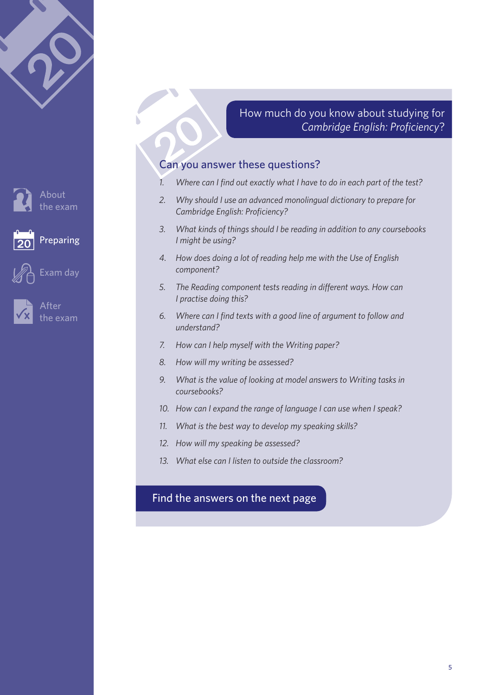

After he exam

[Exam day](#page-10-0)

**[Preparing](#page-3-0)** 

About [the exam](#page-1-0) How much do you know about studying for *Cambridge English: Proficiency*?

#### Can you answer these questions?

- *1. Where can I find out exactly what I have to do in each part of the test?*
- *2. Why should I use an advanced monolingual dictionary to prepare for Cambridge English: Proficiency?*
- *3. What kinds of things should I be reading in addition to any coursebooks I might be using?*
- *4. How does doing a lot of reading help me with the Use of English component?*
- *5. The Reading component tests reading in different ways. How can I practise doing this?*
- *6. Where can I find texts with a good line of argument to follow and understand?*
- *7. How can I help myself with the Writing paper?*
- *8. How will my writing be assessed?*
- *9. What is the value of looking at model answers to Writing tasks in coursebooks?*
- *10. How can I expand the range of language I can use when I speak?*
- *11. What is the best way to develop my speaking skills?*
- *12. How will my speaking be assessed?*
- *13. What else can I listen to outside the classroom?*

#### [Find the answers on the next page](#page-5-0)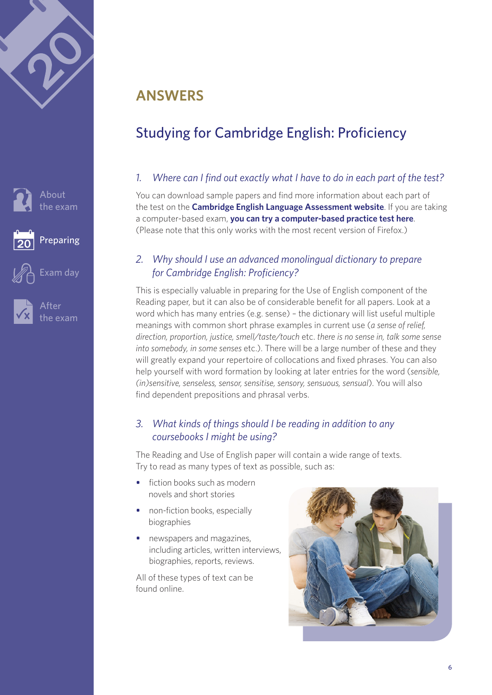<span id="page-5-0"></span>





# **ANSWERS**

# Studying for Cambridge English: Proficiency

#### *1. Where can I find out exactly what I have to do in each part of the test?*

You can download sample papers and find more information about each part of the test on the **[Cambridge English Language Assessment website](http://www.cambridgeenglish.org/exams/proficiency/exam-format/)**. If you are taking a computer-based exam, **[you can try a computer-based practice test here](http://www.cambridgeenglish.org/exams-and-qualifications/proficiency/how-to-prepare/)**. (Please note that this only works with the most recent version of Firefox.)

#### *2. Why should I use an advanced monolingual dictionary to prepare for Cambridge English: Proficiency?*

This is especially valuable in preparing for the Use of English component of the Reading paper, but it can also be of considerable benefit for all papers. Look at a word which has many entries (e.g. sense) – the dictionary will list useful multiple meanings with common short phrase examples in current use (*a sense of relief, direction, proportion, justice, smell/taste/touch* etc. *there is no sense in, talk some sense into somebody, in some senses* etc.). There will be a large number of these and they will greatly expand your repertoire of collocations and fixed phrases. You can also help yourself with word formation by looking at later entries for the word (*sensible, (in)sensitive, senseless, sensor, sensitise, sensory, sensuous, sensual*). You will also find dependent prepositions and phrasal verbs.

#### *3. What kinds of things should I be reading in addition to any coursebooks I might be using?*

The Reading and Use of English paper will contain a wide range of texts. Try to read as many types of text as possible, such as:

- fiction books such as modern novels and short stories
- non-fiction books, especially biographies
- newspapers and magazines, including articles, written interviews, biographies, reports, reviews.

All of these types of text can be found online.

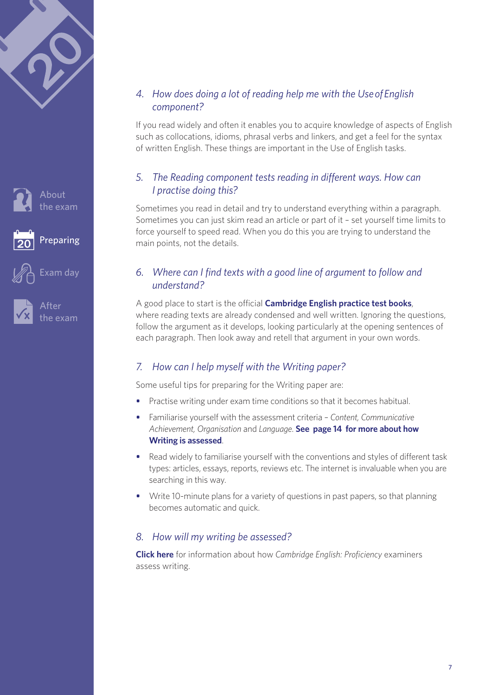





iter: [the exam](#page-12-0)

#### *4. How does doing a lot of reading help me with the Use of English component?*

If you read widely and often it enables you to acquire knowledge of aspects of English such as collocations, idioms, phrasal verbs and linkers, and get a feel for the syntax of written English. These things are important in the Use of English tasks.

#### *5. The Reading component tests reading in different ways. How can I practise doing this?*

Sometimes you read in detail and try to understand everything within a paragraph. Sometimes you can just skim read an article or part of it – set yourself time limits to force yourself to speed read. When you do this you are trying to understand the main points, not the details.

#### *6. Where can I find texts with a good line of argument to follow and understand?*

A good place to start is the official **[Cambridge English practice test books](http://www.cambridgeenglish.org/prepare-and-practise/official-cambridge-english-preparation-materials/proficiency/)**, where reading texts are already condensed and well written. Ignoring the questions, follow the argument as it develops, looking particularly at the opening sentences of each paragraph. Then look away and retell that argument in your own words.

#### *7. How can I help myself with the Writing paper?*

Some useful tips for preparing for the Writing paper are:

- Practise writing under exam time conditions so that it becomes habitual.
- Familiarise yourself with the assessment criteria *Content, Communicative Achievement, Organisation* and *Language*. **See [page 14](#page-13-2) for more about how Writing is assessed**.
- Read widely to familiarise yourself with the conventions and styles of different task types: articles, essays, reports, reviews etc. The internet is invaluable when you are searching in this way.
- Write 10-minute plans for a variety of questions in past papers, so that planning becomes automatic and quick.

#### *8. How will my writing be assessed?*

**[Click here](#page-13-0)** for information about how *Cambridge English: Proficiency* examiners assess writing.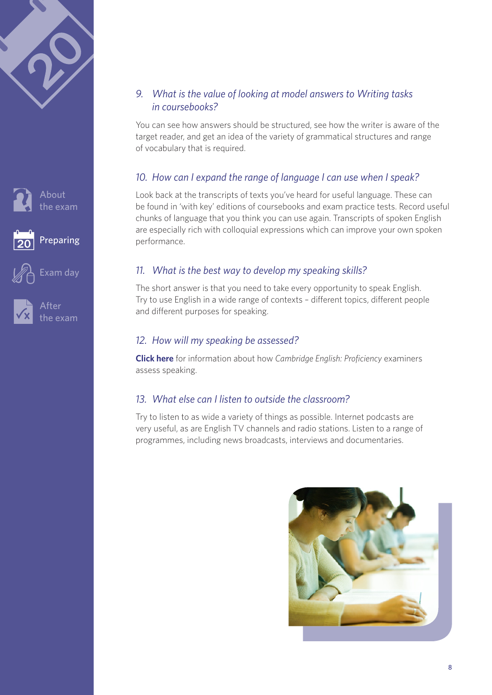



[Exam day](#page-10-0)





#### *9. What is the value of looking at model answers to Writing tasks in coursebooks?*

You can see how answers should be structured, see how the writer is aware of the target reader, and get an idea of the variety of grammatical structures and range of vocabulary that is required.

#### *10. How can I expand the range of language I can use when I speak?*

Look back at the transcripts of texts you've heard for useful language. These can be found in 'with key' editions of coursebooks and exam practice tests. Record useful chunks of language that you think you can use again. Transcripts of spoken English are especially rich with colloquial expressions which can improve your own spoken performance.

#### *11. What is the best way to develop my speaking skills?*

The short answer is that you need to take every opportunity to speak English. Try to use English in a wide range of contexts – different topics, different people and different purposes for speaking.

#### *12. How will my speaking be assessed?*

**[Click here](#page-13-2)** for information about how *Cambridge English: Proficiency* examiners assess speaking.

#### *13. What else can I listen to outside the classroom?*

Try to listen to as wide a variety of things as possible. Internet podcasts are very useful, as are English TV channels and radio stations. Listen to a range of programmes, including news broadcasts, interviews and documentaries.

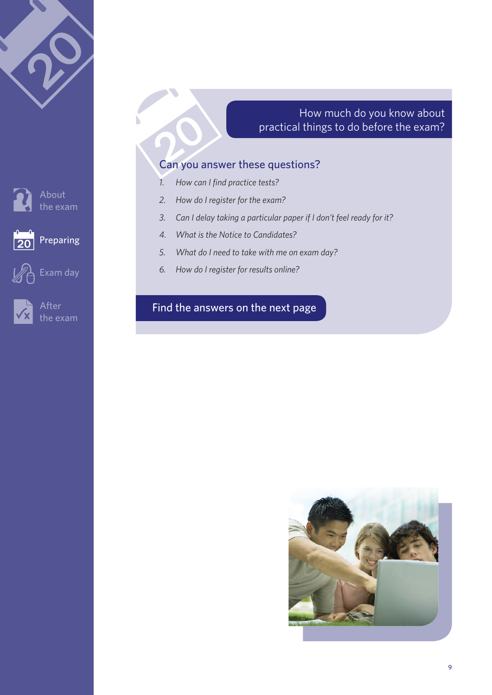

#### How much do you know about practical things to do before the exam?

#### Can you answer these questions?

- *1. How can I find practice tests?*
- *2. How do I register for the exam?*
- *3. Can I delay taking a particular paper if I don't feel ready for it?*
- *4. What is the Notice to Candidates?*
- *5. What do I need to take with me on exam day?*
- *6. How do I register for results online?*

#### [Find the answers on the next page](#page-5-0)



About [the exam](#page-1-0)







After [the exam](#page-12-0)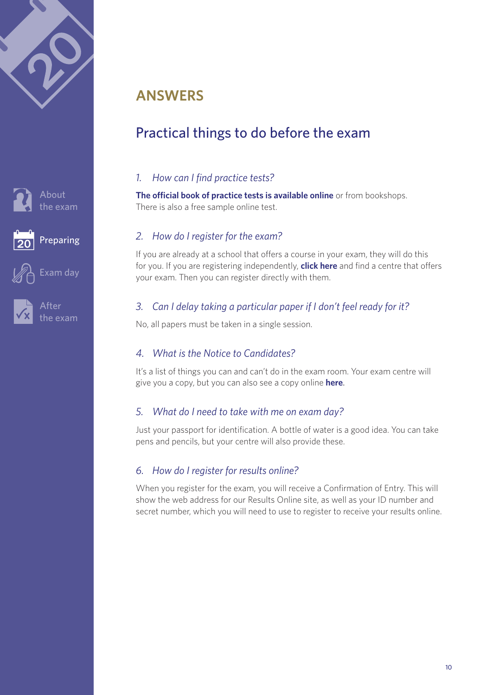<span id="page-9-0"></span>



[Exam day](#page-10-0)





# **ANSWERS**

# Practical things to do before the exam

#### *1. How can I find practice tests?*

**[The official book of practice tests is available online](http://www.cambridgeenglish.org/prepare-and-practise/official-cambridge-english-preparation-materials/proficiency/)** or from bookshops. There is also a free sample online test.

#### *2. How do I register for the exam?*

If you are already at a school that offers a course in your exam, they will do this for you. If you are registering independently, **click [here](http://www.cambridgeenglish.org/find-a-centre/find-an-exam-centre/)** and find a centre that offers your exam. Then you can register directly with them.

#### *3. Can I delay taking a particular paper if I don't feel ready for it?*

No, all papers must be taken in a single session.

#### *4. What is the Notice to Candidates?*

It's a list of things you can and can't do in the exam room. Your exam centre will give you a copy, but you can also see a copy online **[here](http://www.cambridgeenglish.org/images/summary-regulations.pdf#page=2)**.

#### *5. What do I need to take with me on exam day?*

Just your passport for identification. A bottle of water is a good idea. You can take pens and pencils, but your centre will also provide these.

#### *6. How do I register for results online?*

When you register for the exam, you will receive a Confirmation of Entry. This will show the web address for our Results Online site, as well as your ID number and secret number, which you will need to use to register to receive your results online.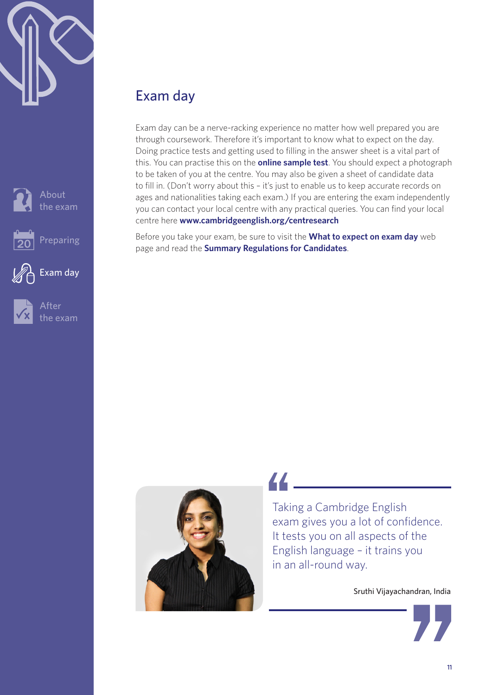<span id="page-10-0"></span>







After [the exam](#page-12-0)

Exam day

# Exam day

Exam day can be a nerve-racking experience no matter how well prepared you are through coursework. Therefore it's important to know what to expect on the day. Doing practice tests and getting used to filling in the answer sheet is a vital part of this. You can practise this on the **[online sample test](http://www.cambridgeenglish.org/exams-and-qualifications/proficiency/how-to-prepare/)**. You should expect a photograph to be taken of you at the centre. You may also be given a sheet of candidate data to fill in. (Don't worry about this – it's just to enable us to keep accurate records on ages and nationalities taking each exam.) If you are entering the exam independently you can contact your local centre with any practical queries. You can find your local centre here **[www.cambridgeenglish.org/centresearch](http://www.cambridgeenglish.org/centresearch)**

Before you take your exam, be sure to visit the **[What to expect on exam day](http://www.cambridgeesol.org/exam-preparation/exam-day.html)** web [page](http://www.cambridgeesol.org/exam-preparation/exam-day.html) and read the **[Summary Regulations for Candidates](http://www.cambridgeenglish.org/images/summary-regulations.pdf)**.



# 44

Taking a Cambridge English exam gives you a lot of confidence. It tests you on all aspects of the English language – it trains you in an all-round way.

Sruthi Vijayachandran, India

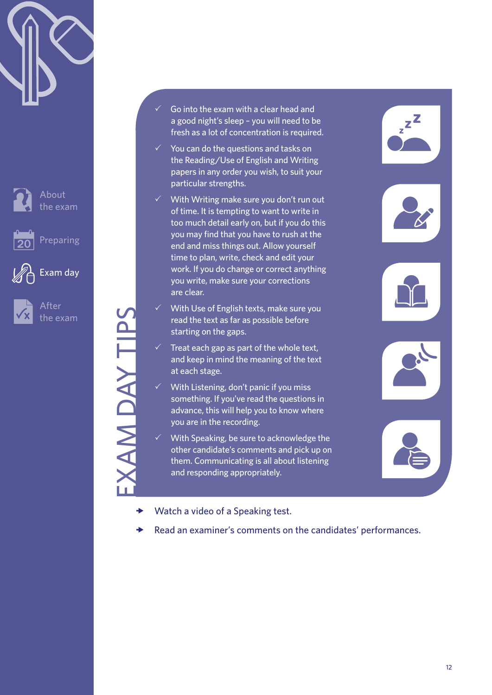





[Exam day](#page-10-0)

EXAM DAY TIPS

AM DAY TIPS

After [the exam](#page-12-0)

- Go into the exam with a clear head and a good night's sleep – you will need to be fresh as a lot of concentration is required.
- $\checkmark$  You can do the questions and tasks on the Reading/Use of English and Writing papers in any order you wish, to suit your particular strengths.
- With Writing make sure you don't run out of time. It is tempting to want to write in too much detail early on, but if you do this you may find that you have to rush at the end and miss things out. Allow yourself time to plan, write, check and edit your work. If you do change or correct anything you write, make sure your corrections are clear.
- With Use of English texts, make sure you read the text as far as possible before starting on the gaps.
- Treat each gap as part of the whole text, and keep in mind the meaning of the text at each stage.
- With Listening, don't panic if you miss something. If you've read the questions in advance, this will help you to know where you are in the recording.
- With Speaking, be sure to acknowledge the other candidate's comments and pick up on them. Communicating is all about listening and responding appropriately.
- $\rightarrow$  [Watch a video of a Speaking test.](http://www.youtube.com/watch?v=Z-zh_rPNaqU)
- [Read an examiner's comments on the candidates' performances.](http://www.cambridgeenglish.org/images/cpe-examiner-comments.pdf)









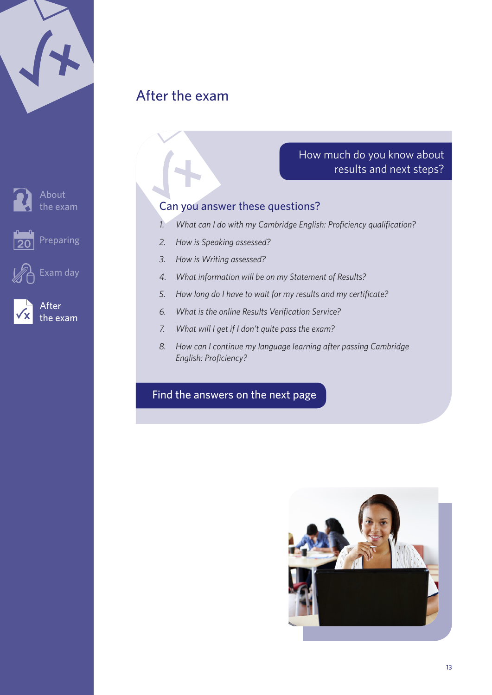<span id="page-12-0"></span>

|  | $\blacktriangleleft$ |  |
|--|----------------------|--|
|  |                      |  |
|  |                      |  |





About [the exam](#page-1-0)



[Preparing](#page-3-0)



[Exam day](#page-10-0)



After the exam

#### How much do you know about results and next steps?

#### Can you answer these questions?

- *1. What can I do with my Cambridge English: Proficiency qualification?*
- *2. How is Speaking assessed?*
- *3. How is Writing assessed?*
- *4. What information will be on my Statement of Results?*
- *5. How long do I have to wait for my results and my certificate?*
- *6. What is the online Results Verification Service?*
- *7. What will I get if I don't quite pass the exam?*
- *8. How can I continue my language learning after passing Cambridge English: Proficiency?*

### [Find the answers on the next page](#page-5-0)

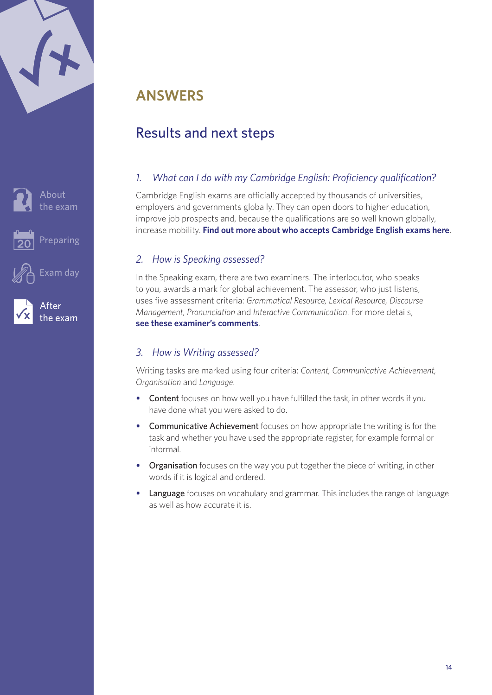<span id="page-13-1"></span>





After

[the exam](#page-12-0)

# **ANSWERS**

# Results and next steps

#### *1. What can I do with my Cambridge English: Proficiency qualification?*

Cambridge English exams are officially accepted by thousands of universities, employers and governments globally. They can open doors to higher education, improve job prospects and, because the qualifications are so well known globally, increase mobility. **[Find out more about who accepts Cambridge English exams here](http://www.cambridgeenglish.org/recognition/)**.

#### <span id="page-13-2"></span>*2. How is Speaking assessed?*

In the Speaking exam, there are two examiners. The interlocutor, who speaks to you, awards a mark for global achievement. The assessor, who just listens, uses five assessment criteria: *Grammatical Resource, Lexical Resource, Discourse Management, Pronunciation* and *Interactive Communication*. For more details, **[see these examiner's comments](http://www.cambridgeenglish.org/images/cpe-examiner-comments.pdf)**.

#### <span id="page-13-0"></span>*3. How is Writing assessed?*

Writing tasks are marked using four criteria: *Content, Communicative Achievement, Organisation* and *Language*.

- Content focuses on how well you have fulfilled the task, in other words if you have done what you were asked to do.
- Communicative Achievement focuses on how appropriate the writing is for the task and whether you have used the appropriate register, for example formal or informal.
- Organisation focuses on the way you put together the piece of writing, in other words if it is logical and ordered.
- Language focuses on vocabulary and grammar. This includes the range of language as well as how accurate it is.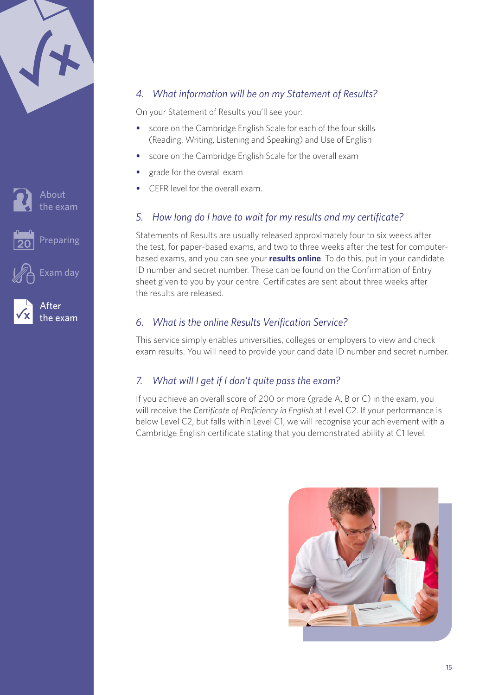|  | 14 |  |
|--|----|--|
|  |    |  |
|  |    |  |







[Exam day](#page-10-0)

#### *4. What information will be on my Statement of Results?*

On your Statement of Results you'll see your:

- score on the Cambridge English Scale for each of the four skills (Reading, Writing, Listening and Speaking) and Use of English
- score on the Cambridge English Scale for the overall exam
- grade for the overall exam
- CEFR level for the overall exam.

#### *5. How long do I have to wait for my results and my certificate?*

Statements of Results are usually released approximately four to six weeks after the test, for paper-based exams, and two to three weeks after the test for computerbased exams, and you can see your **[results online](https://cambridgeesol-results.org/Members/Login.aspx)**. To do this, put in your candidate ID number and secret number. These can be found on the Confirmation of Entry sheet given to you by your centre. Certificates are sent about three weeks after the results are released.

#### *6. What is the online Results Verification Service?*

This service simply enables universities, colleges or employers to view and check exam results. You will need to provide your candidate ID number and secret number.

#### *7. What will I get if I don't quite pass the exam?*

If you achieve an overall score of 200 or more (grade A, B or C) in the exam, you will receive the *Certificate of Proficiency in English* at Level C2. If your performance is below Level C2, but falls within Level C1, we will recognise your achievement with a Cambridge English certificate stating that you demonstrated ability at C1 level.